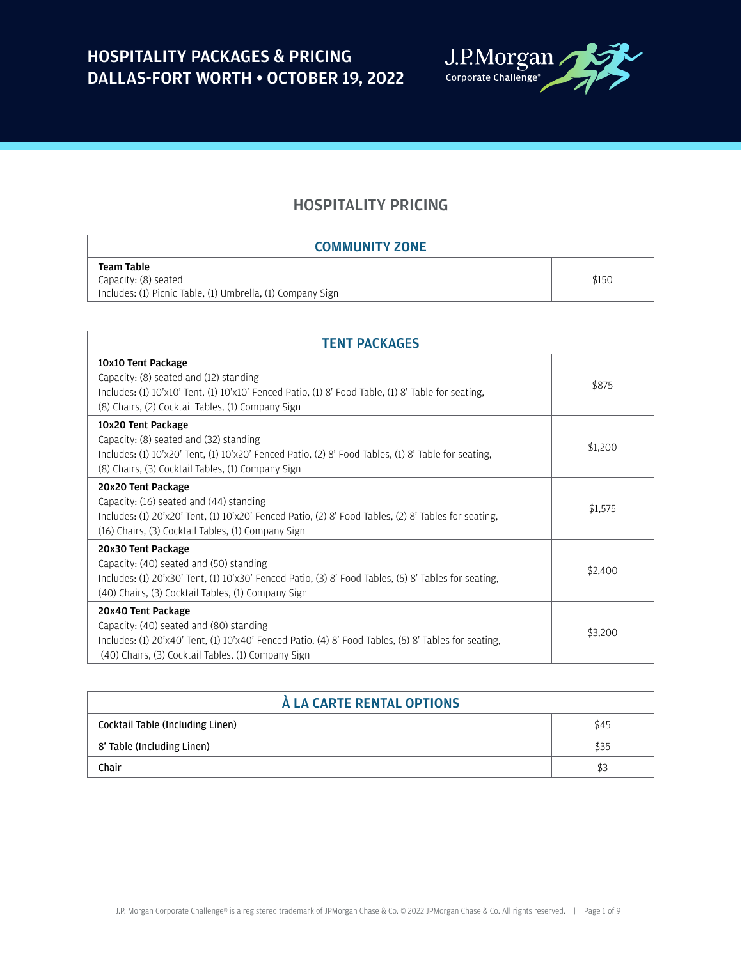

### HOSPITALITY PRICING

| <b>COMMUNITY ZONE</b>                                      |       |
|------------------------------------------------------------|-------|
| <b>Team Table</b>                                          |       |
| Capacity: (8) seated                                       | \$150 |
| Includes: (1) Picnic Table, (1) Umbrella, (1) Company Sign |       |

| <b>TENT PACKAGES</b>                                                                                                                                                                                                        |         |  |
|-----------------------------------------------------------------------------------------------------------------------------------------------------------------------------------------------------------------------------|---------|--|
| 10x10 Tent Package<br>Capacity: (8) seated and (12) standing<br>Includes: (1) $10'x10'$ Tent, (1) $10'x10'$ Fenced Patio, (1) 8' Food Table, (1) 8' Table for seating,<br>(8) Chairs, (2) Cocktail Tables, (1) Company Sign | \$875   |  |
| 10x20 Tent Package<br>Capacity: (8) seated and (32) standing<br>Includes: (1) 10'x20' Tent, (1) 10'x20' Fenced Patio, (2) 8' Food Tables, (1) 8' Table for seating,<br>(8) Chairs, (3) Cocktail Tables, (1) Company Sign    | \$1,200 |  |
| 20x20 Tent Package<br>Capacity: (16) seated and (44) standing<br>Includes: (1) 20'x20' Tent, (1) 10'x20' Fenced Patio, (2) 8' Food Tables, (2) 8' Tables for seating,<br>(16) Chairs, (3) Cocktail Tables, (1) Company Sign | \$1,575 |  |
| 20x30 Tent Package<br>Capacity: (40) seated and (50) standing<br>Includes: (1) 20'x30' Tent, (1) 10'x30' Fenced Patio, (3) 8' Food Tables, (5) 8' Tables for seating,<br>(40) Chairs, (3) Cocktail Tables, (1) Company Sign | \$2,400 |  |
| 20x40 Tent Package<br>Capacity: (40) seated and (80) standing<br>Includes: (1) 20'x40' Tent, (1) 10'x40' Fenced Patio, (4) 8' Food Tables, (5) 8' Tables for seating,<br>(40) Chairs, (3) Cocktail Tables, (1) Company Sign | \$3,200 |  |

| À LA CARTE RENTAL OPTIONS        |      |  |
|----------------------------------|------|--|
| Cocktail Table (Including Linen) | \$45 |  |
| 8' Table (Including Linen)       | \$35 |  |
| Chair                            | \$3  |  |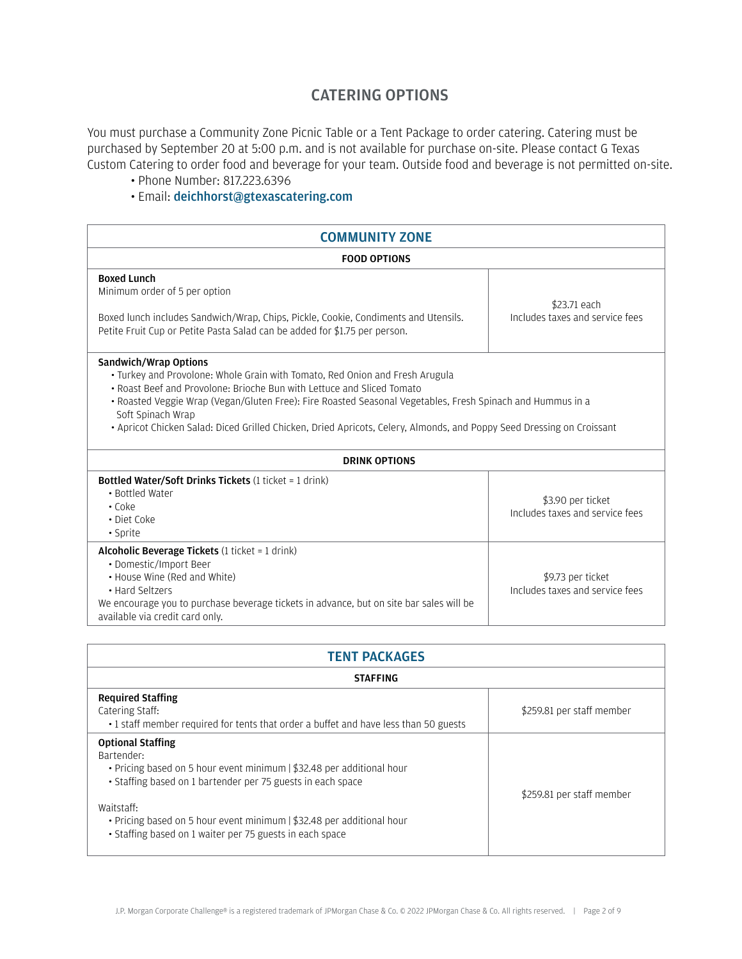### CATERING OPTIONS

You must purchase a Community Zone Picnic Table or a Tent Package to order catering. Catering must be purchased by September 20 at 5:00 p.m. and is not available for purchase on-site. Please contact G Texas Custom Catering to order food and beverage for your team. Outside food and beverage is not permitted on-site.

- Phone Number: 817.223.6396
- Email: [deichhorst@gtexascatering.com](mailto:deichhorst%40gtexascatering.com?subject=)

| <b>COMMUNITY ZONE</b>                                                                                                                                                                                                                                                                                                                                                                                                                              |                                                      |  |  |
|----------------------------------------------------------------------------------------------------------------------------------------------------------------------------------------------------------------------------------------------------------------------------------------------------------------------------------------------------------------------------------------------------------------------------------------------------|------------------------------------------------------|--|--|
| <b>FOOD OPTIONS</b>                                                                                                                                                                                                                                                                                                                                                                                                                                |                                                      |  |  |
| <b>Boxed Lunch</b><br>Minimum order of 5 per option<br>Boxed lunch includes Sandwich/Wrap, Chips, Pickle, Cookie, Condiments and Utensils.<br>Petite Fruit Cup or Petite Pasta Salad can be added for \$1.75 per person.                                                                                                                                                                                                                           | \$23.71 each<br>Includes taxes and service fees      |  |  |
| <b>Sandwich/Wrap Options</b><br>· Turkey and Provolone: Whole Grain with Tomato, Red Onion and Fresh Arugula<br>• Roast Beef and Provolone: Brioche Bun with Lettuce and Sliced Tomato<br>• Roasted Veggie Wrap (Vegan/Gluten Free): Fire Roasted Seasonal Vegetables, Fresh Spinach and Hummus in a<br>Soft Spinach Wrap<br>· Apricot Chicken Salad: Diced Grilled Chicken, Dried Apricots, Celery, Almonds, and Poppy Seed Dressing on Croissant |                                                      |  |  |
| <b>DRINK OPTIONS</b>                                                                                                                                                                                                                                                                                                                                                                                                                               |                                                      |  |  |
| <b>Bottled Water/Soft Drinks Tickets (1 ticket = 1 drink)</b><br>• Bottled Water<br>$\cdot$ Coke<br>• Diet Coke<br>• Sprite                                                                                                                                                                                                                                                                                                                        | \$3.90 per ticket<br>Includes taxes and service fees |  |  |
| <b>Alcoholic Beverage Tickets</b> (1 ticket = 1 drink)<br>• Domestic/Import Beer<br>• House Wine (Red and White)<br>• Hard Seltzers<br>We encourage you to purchase beverage tickets in advance, but on site bar sales will be<br>available via credit card only.                                                                                                                                                                                  | \$9.73 per ticket<br>Includes taxes and service fees |  |  |

| <b>TENT PACKAGES</b>                                                                                                                                                                                                                                                                                                              |                           |  |  |  |
|-----------------------------------------------------------------------------------------------------------------------------------------------------------------------------------------------------------------------------------------------------------------------------------------------------------------------------------|---------------------------|--|--|--|
| <b>STAFFING</b>                                                                                                                                                                                                                                                                                                                   |                           |  |  |  |
| <b>Required Staffing</b><br>Catering Staff:<br>• 1 staff member required for tents that order a buffet and have less than 50 guests                                                                                                                                                                                               | \$259.81 per staff member |  |  |  |
| <b>Optional Staffing</b><br>Bartender:<br>• Pricing based on 5 hour event minimum   \$32.48 per additional hour<br>• Staffing based on 1 bartender per 75 guests in each space<br>Waitstaff:<br>• Pricing based on 5 hour event minimum   \$32.48 per additional hour<br>• Staffing based on 1 waiter per 75 guests in each space | \$259.81 per staff member |  |  |  |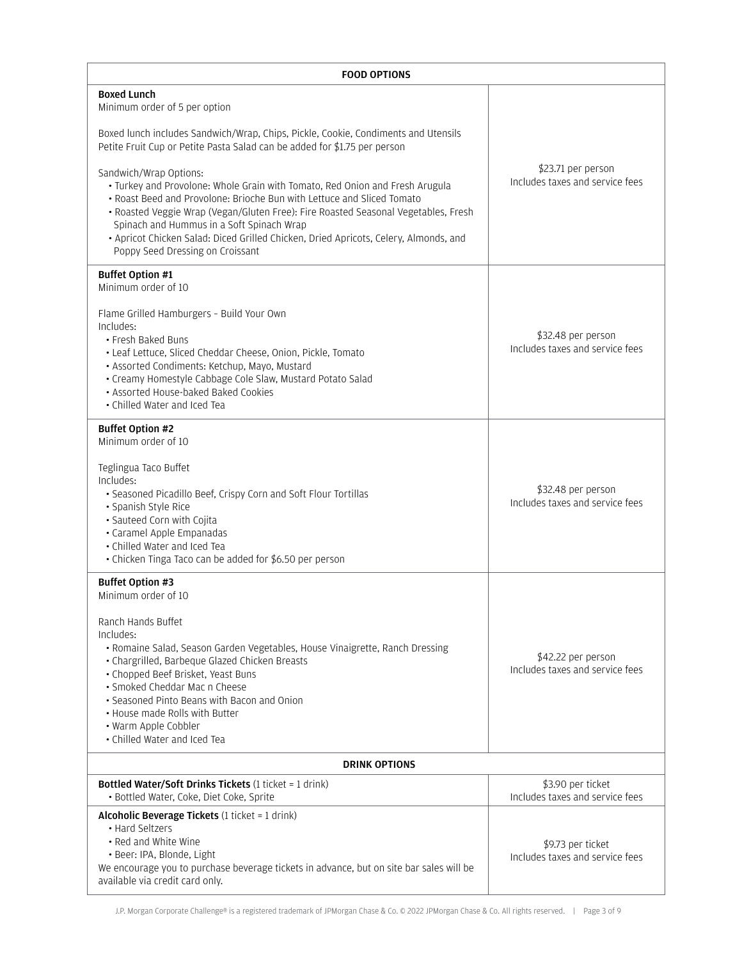| <b>FOOD OPTIONS</b>                                                                                                                                                                                                                                                                                                                                                                                                                                                                                                                                                                                                                                                       |                                                       |  |
|---------------------------------------------------------------------------------------------------------------------------------------------------------------------------------------------------------------------------------------------------------------------------------------------------------------------------------------------------------------------------------------------------------------------------------------------------------------------------------------------------------------------------------------------------------------------------------------------------------------------------------------------------------------------------|-------------------------------------------------------|--|
| <b>Boxed Lunch</b><br>Minimum order of 5 per option<br>Boxed lunch includes Sandwich/Wrap, Chips, Pickle, Cookie, Condiments and Utensils<br>Petite Fruit Cup or Petite Pasta Salad can be added for \$1.75 per person<br>Sandwich/Wrap Options:<br>• Turkey and Provolone: Whole Grain with Tomato, Red Onion and Fresh Arugula<br>• Roast Beed and Provolone: Brioche Bun with Lettuce and Sliced Tomato<br>· Roasted Veggie Wrap (Vegan/Gluten Free): Fire Roasted Seasonal Vegetables, Fresh<br>Spinach and Hummus in a Soft Spinach Wrap<br>· Apricot Chicken Salad: Diced Grilled Chicken, Dried Apricots, Celery, Almonds, and<br>Poppy Seed Dressing on Croissant | \$23.71 per person<br>Includes taxes and service fees |  |
| <b>Buffet Option #1</b><br>Minimum order of 10<br>Flame Grilled Hamburgers - Build Your Own<br>Includes:<br>• Fresh Baked Buns<br>• Leaf Lettuce, Sliced Cheddar Cheese, Onion, Pickle, Tomato<br>· Assorted Condiments: Ketchup, Mayo, Mustard<br>• Creamy Homestyle Cabbage Cole Slaw, Mustard Potato Salad<br>• Assorted House-baked Baked Cookies<br>• Chilled Water and Iced Tea                                                                                                                                                                                                                                                                                     | \$32.48 per person<br>Includes taxes and service fees |  |
| <b>Buffet Option #2</b><br>Minimum order of 10<br>Teglingua Taco Buffet<br>Includes:<br>• Seasoned Picadillo Beef, Crispy Corn and Soft Flour Tortillas<br>• Spanish Style Rice<br>· Sauteed Corn with Cojita<br>· Caramel Apple Empanadas<br>• Chilled Water and Iced Tea<br>• Chicken Tinga Taco can be added for \$6.50 per person                                                                                                                                                                                                                                                                                                                                     | \$32.48 per person<br>Includes taxes and service fees |  |
| <b>Buffet Option #3</b><br>Minimum order of 10<br>Ranch Hands Buffet<br>Includes:<br>• Romaine Salad, Season Garden Vegetables, House Vinaigrette, Ranch Dressing<br>• Chargrilled, Barbeque Glazed Chicken Breasts<br>• Chopped Beef Brisket, Yeast Buns<br>· Smoked Cheddar Mac n Cheese<br>• Seasoned Pinto Beans with Bacon and Onion<br>• House made Rolls with Butter<br>• Warm Apple Cobbler<br>• Chilled Water and Iced Tea                                                                                                                                                                                                                                       | \$42.22 per person<br>Includes taxes and service fees |  |
| <b>DRINK OPTIONS</b>                                                                                                                                                                                                                                                                                                                                                                                                                                                                                                                                                                                                                                                      |                                                       |  |
| <b>Bottled Water/Soft Drinks Tickets (1 ticket = 1 drink)</b><br>· Bottled Water, Coke, Diet Coke, Sprite                                                                                                                                                                                                                                                                                                                                                                                                                                                                                                                                                                 | \$3.90 per ticket<br>Includes taxes and service fees  |  |
| Alcoholic Beverage Tickets (1 ticket = 1 drink)<br>• Hard Seltzers<br>• Red and White Wine<br>· Beer: IPA, Blonde, Light<br>We encourage you to purchase beverage tickets in advance, but on site bar sales will be<br>available via credit card only.                                                                                                                                                                                                                                                                                                                                                                                                                    | \$9.73 per ticket<br>Includes taxes and service fees  |  |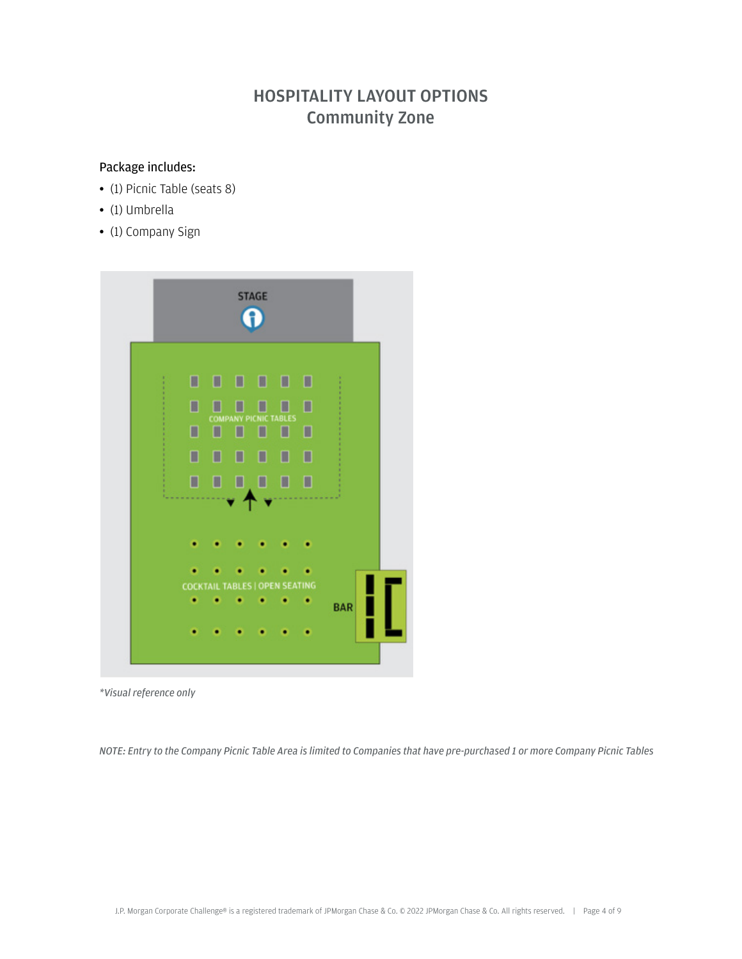# HOSPITALITY LAYOUT OPTIONS Community Zone

#### Package includes:

- (1) Picnic Table (seats 8)
- (1) Umbrella
- (1) Company Sign



*<sup>\*</sup>Visual reference only*

*NOTE: Entry to the Company Picnic Table Area is limited to Companies that have pre-purchased 1 or more Company Picnic Tables*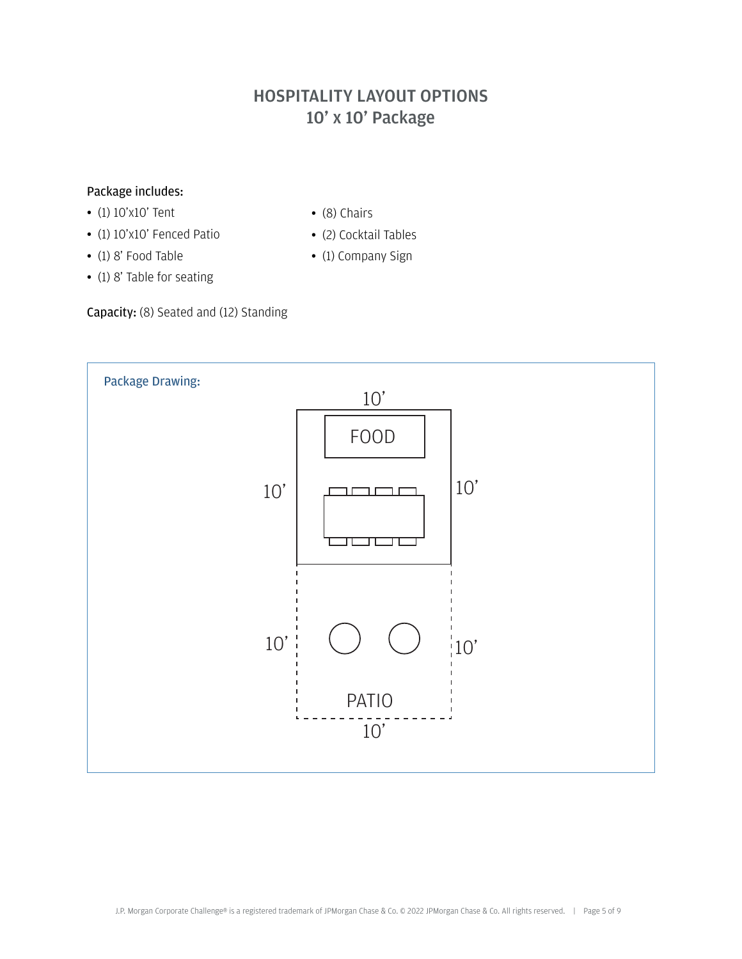# HOSPITALITY LAYOUT OPTIONS 10' x 10' Package

#### Package includes:

- (1) 10'x10' Tent
- (1) 10'x10' Fenced Patio
- (1) 8' Food Table
- (1) 8' Table for seating

Capacity: (8) Seated and (12) Standing



- (8) Chairs
	- (2) Cocktail Tables
	- (1) Company Sign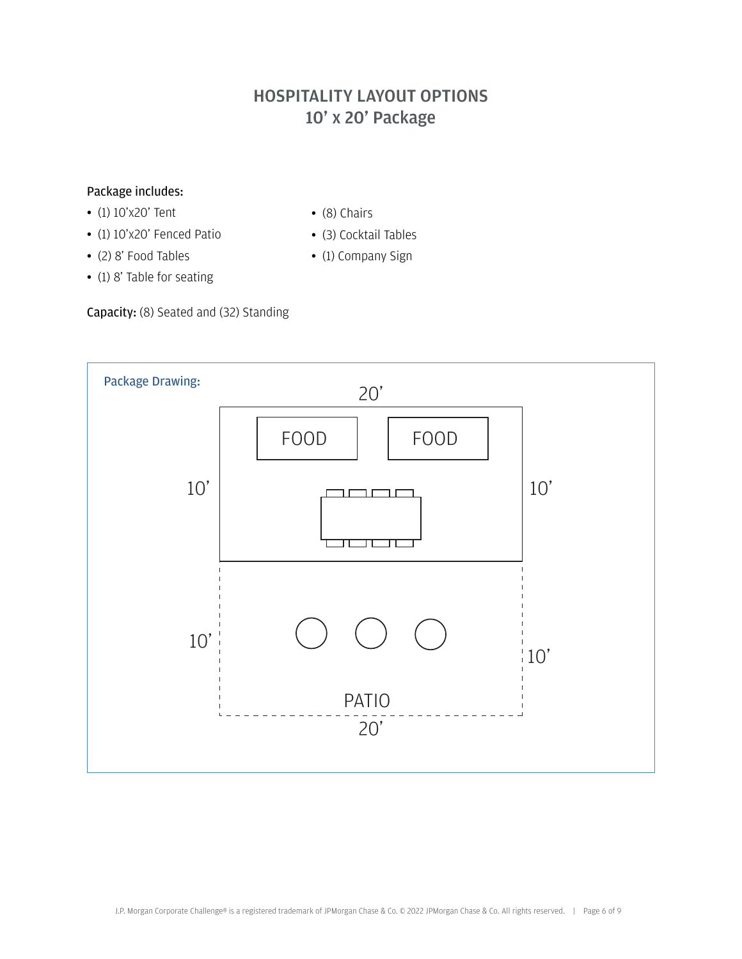# HOSPITALITY LAYOUT OPTIONS 10' x 20' Package

### Package includes:

- (1) 10'x20' Tent
- (1) 10'x20' Fenced Patio
- (2) 8' Food Tables
- (1) 8' Table for seating
- (8) Chairs
- (3) Cocktail Tables
- (1) Company Sign

Capacity: (8) Seated and (32) Standing

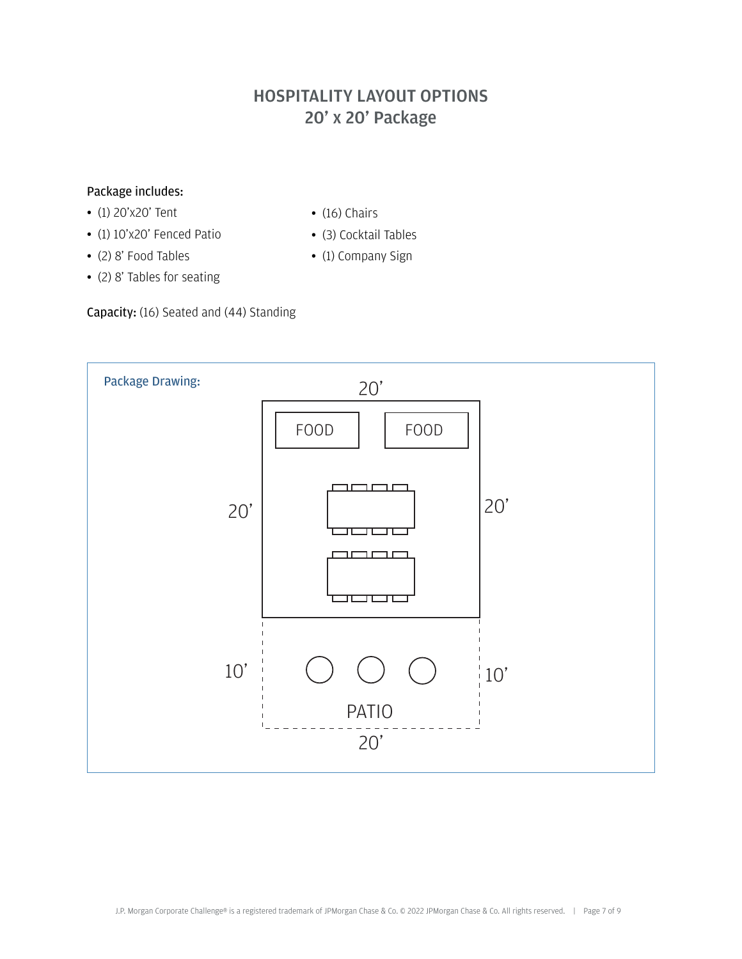# HOSPITALITY LAYOUT OPTIONS 20' x 20' Package

### Package includes:

- (1) 20'x20' Tent
- (1) 10'x20' Fenced Patio
- (2) 8' Food Tables
- (2) 8' Tables for seating
- $\bullet$  (16) Chairs
- (3) Cocktail Tables
- (1) Company Sign

### Capacity: (16) Seated and (44) Standing

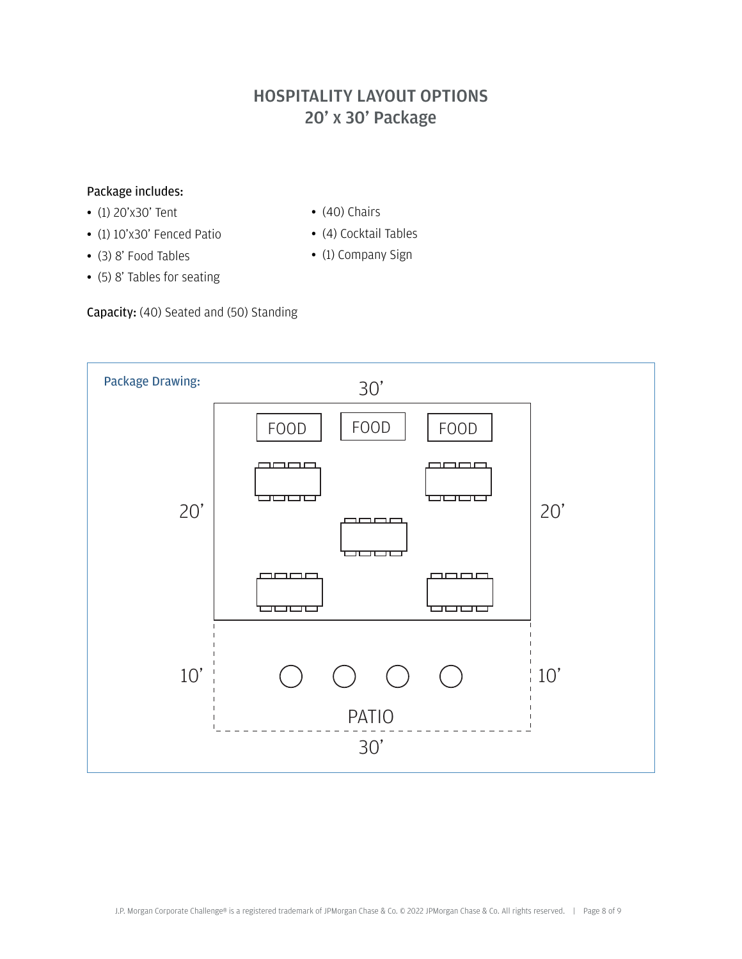# HOSPITALITY LAYOUT OPTIONS 20' x 30' Package

### Package includes:

- (1) 20'x30' Tent
- (1) 10'x30' Fenced Patio
- (3) 8' Food Tables
- (5) 8' Tables for seating
- (40) Chairs
- (4) Cocktail Tables
- (1) Company Sign

Capacity: (40) Seated and (50) Standing